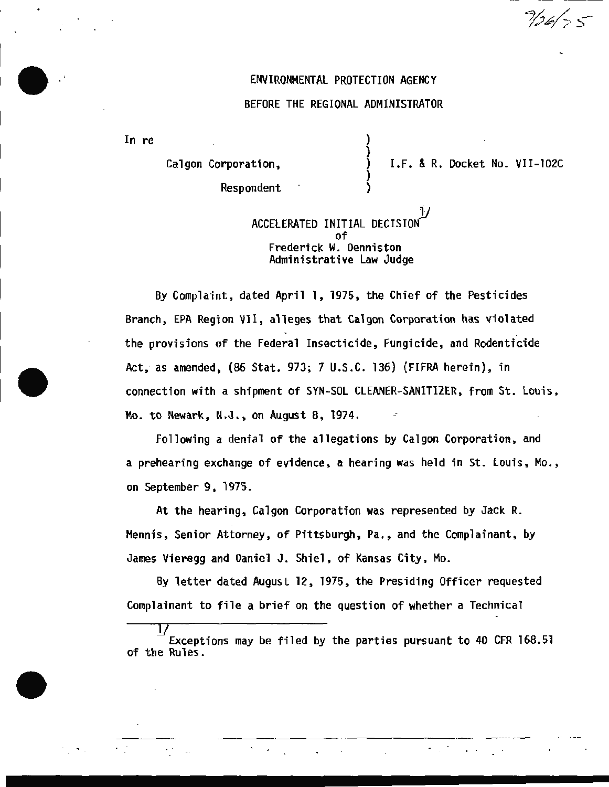### ENVIRONMENTAL PROTECTION AGENCY

### BEFORE THE REGIONAL ADMINISTRATOR

In re

Calgon Corporation,

I.F. & R. Docket No. VII-102C

 $9/26/75$ 

Respondent

## $\frac{1}{2}$ ACCELERATED INITIAL DECISIONof Frederick W. Denniston Administrative Law Judge

) )

By Complaint, dated April 1, 1975, the Chief of the Pesticides Branch, EPA Region VII, alleges that Calgon Corporation has violated the provisions of the Federal Insecticide, Fungicide , and Rodenticide Act; as amended, (86 Stat. 973; 7 U.S.C. 136) {FIFRA herein), in connection with a shipment of SYN-SOL CLEANER-SANITIZER, from St. Louis, **Mo. to Newark, N.J., on August 8, 1974.** 

Following a denial of the allegations by Calgon Corporation, and a prehearing exchange of evidence, a hearing was held in St. Louis, Mo., on September 9, 1975.

At the hearing, Calgon Corporation was represented by Jack R. Mennis, Senior Attorney, of Pittsburgh, Pa., and the Complainant, by James Vieregg and Daniel J. Shiel, of Kansas City, Mo.

By letter dated August 12, 1975, the Presiding Officer requested Complainant to file a brief on the question of whether a Technical

Exceptions may be filed by the parties pursuant to 40 CFR 168.51 of the Rules.

·- --------- - --- - - - - ·· -- ---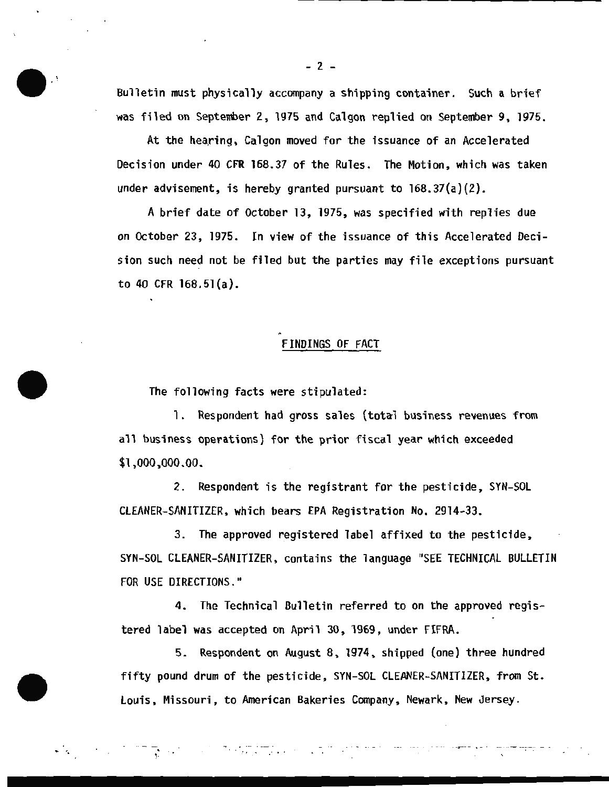Bulletin must physically accompany a shipping container. Such a brief was filed on September 2, 1975 and Calgon replied on September 9, 1975 .

At the hearing, Calgon moved for the issuance of an Accelerated Decision under 40 CFR 168.37 of the Rules. The Motion, which was taken under advisement, is hereby granted pursuant to 168.37(a)(2).

A brief date of October 13, 1975, was specified with replies due on October 23, 1975. In view of the issuance of this Accelerated Decision such need not be filed but the parties may file exceptions pursuant to 40 CFR 168.5l(a) .

# FINDINGS OF FACT

The following facts were stipulated:

1. Respondent had gross sales (total business revenues from all business operations) for the prior fiscal year which exceeded \$1,000,000.00.

2. Respondent is the registrant for the pesticide, SYN-SOL CLEANER-SANITIZER, which bears EPA Registration No. 2914-33.

3. The approved registered label affixed to the pesticide, SYN-SOL CLEANER-SANITIZER, contains the language "SEE TECHNICAL BULLETIN FOR USE DIRECTIONS."

4. The Technical Bulletin referred to on the approved registered label was accepted on April 30, 1969, under FIFRA.

5. Respondent on August 8, 1974, shipped (one) three hundred fifty pound drum of the pesticide, SYN-SOL CLEANER-SANITIZER, from St . Louis, Missouri, to American Bakeries Company, Newark, New Jersey .

.. . . ·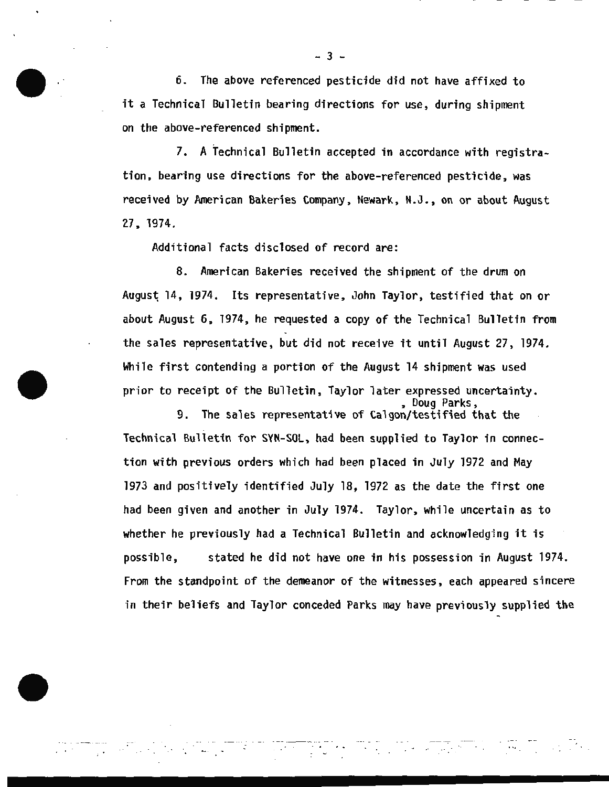6. The above referenced pesticide did not have affixed to it a Technical Bulletin bearing directions for use, during shipment on the above-referenced shipment.

7. A Technical Bulletin accepted in accordance with registration, bearing use directions for the above-referenced pesticide, was received by American Bakeries Company, Newark, N.J., on or about August 27, 1974.

Additional facts disclosed of record are:

8. American Bakeries received the shipment of the drum on August 14, 1974. Its representative, John Taylor, testified that on or about August 6, 1974, he requested a copy of the Technical Bulletin from the sales representative, but did not receive it until August 27, 1974. While first contending a portion of the August 14 shipment was used prior to receipt of the Bulletin, Taylor later expressed uncertainty.<br>poug Parks,<br>9. The sales representative of Calgon/testified that the

The sales representative of Calgon/testified that the Technical Bulletin for SYN-SOL, had been supplied to Taylor in connection with previous orders which had been placed in July 1972 and May 1973 and positively identified July 18, 1972 as the date the first one had been given and another in July 1974. Taylor, while uncertain as to whether he previously had a Technical Bulletin and acknowledging it is possible, stated he did not have one in his possession in August 1974. From the standpoint of the demeanor of the witnesses, each appeared sincere in their beliefs and Taylor conceded Parks may have previously supplied the

..... ·· ·~- -·-··4 .. - · . . ... ,. . . . ~.

- 3 -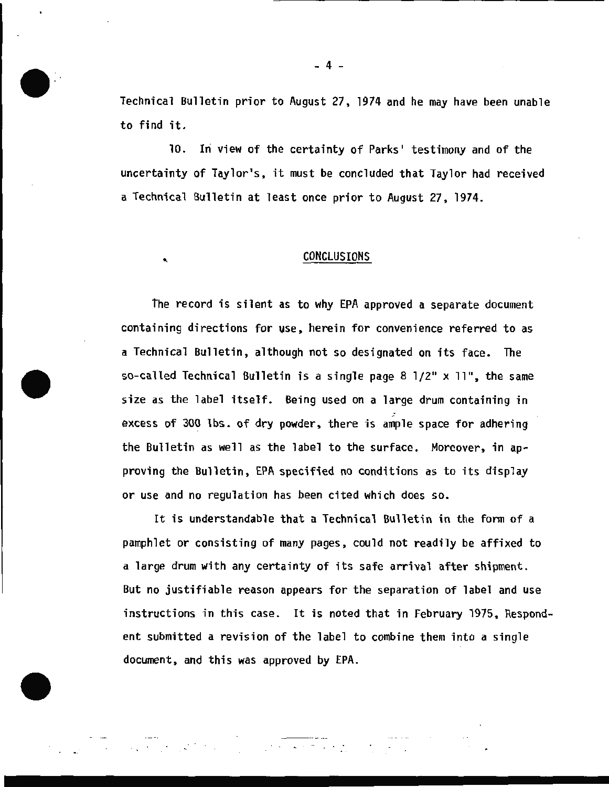Technical Bulletin prior to August 27, 1974 and he may have been unable to find it.

10. In view of the certainty of Parks' testimony and of the uncertainty of Taylor's, it must be concluded that Taylor had received a Technical Bulletin at least once prior to August 27, 1974.

### ' CONCLUSIONS

The record is silent as to why EPA approved a separate document containing directions for vse , herein for convenience referred to as a Technical Bulletin, although not so designated on its face. The so-called Technical Bulletin is a single page 8  $1/2$ " x  $11$ ", the same size as the label itself. Being used on a large drum containing in excess of 300 lbs. of dry powder, there is ample space for adhering the Bulletin as well as the label to the surface. Moreover, in approving the Bulletin, EPA specified no conditions as to its display or use and no regulation has been cited which does so.

It is understandable that a Technical Bulletin in the form of a pamphlet or consisting of many pages, could not readily be affixed to a large drum with any certainty of its safe arrival after shipment. But no justifiable reason appears for the separation of label and use instructions in this case. It is noted that in February 1975, Respondent submitted a revision of the label to combine them into a single document, and this was approved by EPA.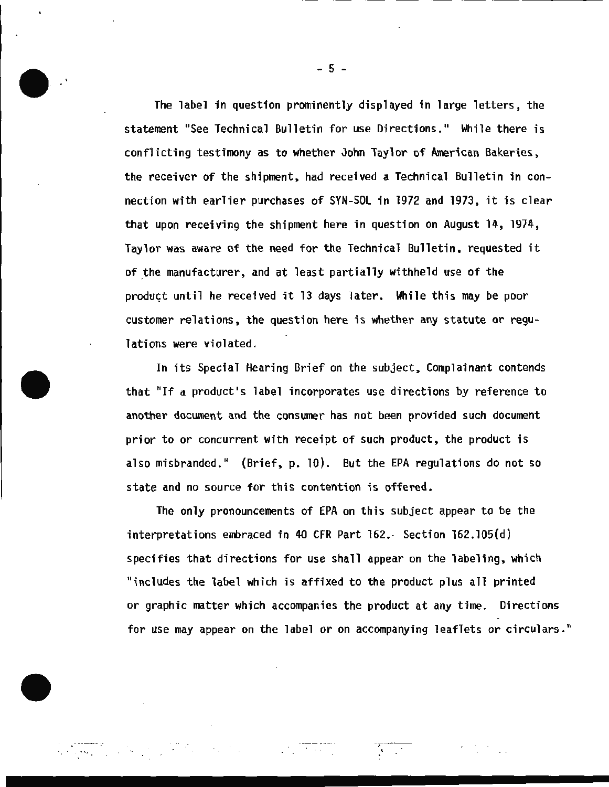The label in question prominently displayed in large letters, the statement "See Technical Bulletin for use Directions." While there is conflicting testimony as to whether John Taylor of American Bakeries, the receiver of the shipment, had received a Technical Bulletin in connection with earlier purchases of SYN-SOL in 1972 and 1973, it is clear that upon receiving the shipment here in question on August 14, 1974, Taylor was aware of the need for the Technical Bul letin, requested it of the manufacturer, and at least partially withheld use of the product until he received it 13 days later. While this may be poor customer relations, the question here is whether any statute or regulations were violated.

In its Special Hearing Brief on the subject, Complainant contends that "If a product's label incorporates use directions by reference to another document and the consumer has not been provided such document prior to or concurrent with receipt of such product, the product is also misbranded." (Brief, p. 10). But the EPA regulations do not so state and no source for this contention is offered.

The only pronouncements of EPA on this subject appear to be the interpretations embraced in 40 CFR Part 162. Section 162.105(d) specifies that directions for use shall appear on the labeling, which "includes the label which is affixed to the product plus all printed or graphic matter which accompanies the product at any time. Directions for use may appear on the label or on accompanying leaflets or circulars. "

 $\label{eq:2.1} \frac{1}{\sqrt{2}}\int_{\mathbb{R}^{3}}\left|\frac{d\mathbf{y}}{d\mathbf{x}}\right|^{2}d\mathbf{x}^{2}d\mathbf{x}^{2}d\mathbf{x}^{2}d\mathbf{x}^{2}d\mathbf{x}^{2}d\mathbf{x}^{2}d\mathbf{x}^{2}d\mathbf{x}^{2}d\mathbf{x}^{2}d\mathbf{x}^{2}d\mathbf{x}^{2}d\mathbf{x}^{2}d\mathbf{x}^{2}d\mathbf{x}^{2}d\mathbf{x}^{2}d\mathbf{x}^{2}d\mathbf{x}^{2}d\mathbf{x}^{2}d\$ 

---- .

. . . . ~ ...

 $-5 -$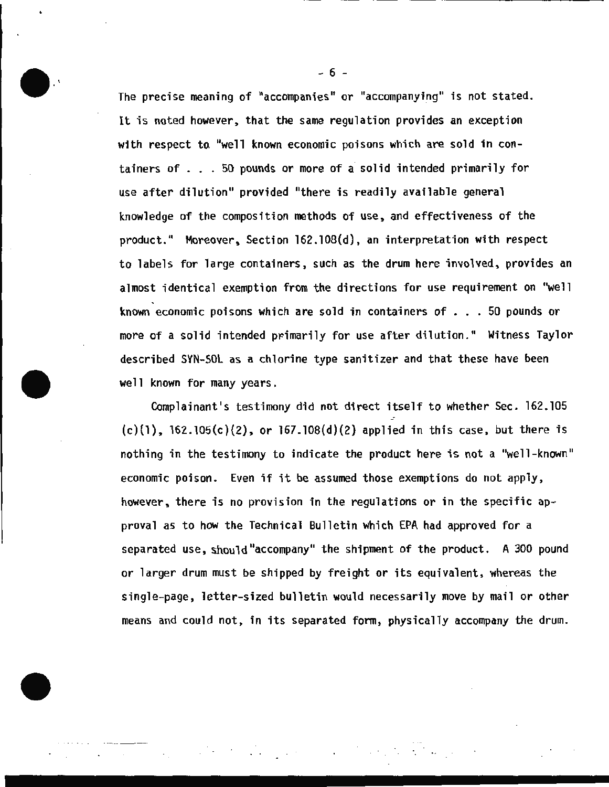The precise meaning of "accompanies" or "accompanying" is not stated. It is noted however, that the same regulation provides an exception with respect to "well known economic poisons which are sold in containers of . .. 50 pounds or more of a solid intended primarily for use after dilution" provided "there is readily available general knowledge of the composition methods of use, and effectiveness of the product." Moreover, Section 162.108(d), an interpretation with respect to labels for large containers, such as the drum here involved, provides an almost identical exemption from the directions for use requirement on "well known economic poisons which are sold in containers of ... 50 pounds or more of a solid intended primarily for use after dilution." Witness Taylor described SYN-SOL as a chlorine type sanitizer and that these have been well known for many years.

Complainant's testimony did not direct itself to whether Sec. 162.105  $(c)(1)$ ,  $162.105(c)(2)$ , or  $167.108(d)(2)$  applied in this case, but there is nothing in the testimony to indicate the product here is not a "well-known" economic poison. Even if it be assumed those exemptions do not apply, however, there is no provision in the regulations or in the specific approval as to how the Technical Bulletin which EPA had approved for a separated use, should "accompany" the shipment of the product. A 300 pound or larger drum must be shipped by freight or its equivalent, whereas the single-page, letter-sized bulletin would necessarily move by mail or other means and could not, in its separated form, physically accompany the drum.

- 6 -